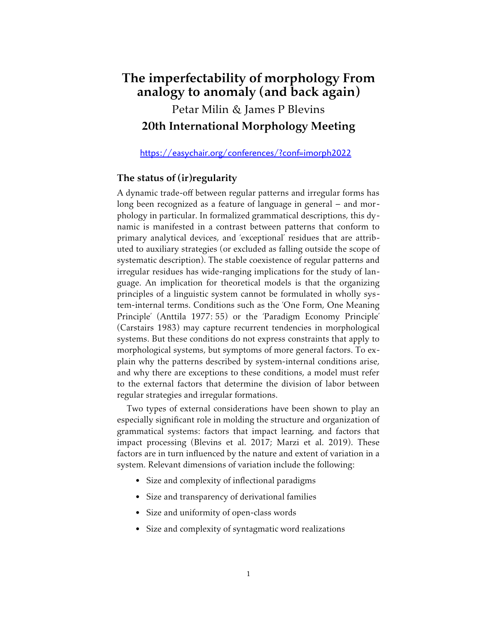# **The imperfectability of morphology From analogy to anomaly (and back again)**

Petar Milin & James P Blevins **20th International Morphology Meeting**

<https://easychair.org/conferences/?conf=imorph2022>

# **The status of (ir)regularity**

A dynamic trade-off between regular patterns and irregular forms has long been recognized as a feature of language in general – and morphology in particular. In formalized grammatical descriptions, this dynamic is manifested in a contrast between patterns that conform to primary analytical devices, and 'exceptional' residues that are attributed to auxiliary strategies (or excluded as falling outside the scope of systematic description). The stable coexistence of regular patterns and irregular residues has wide-ranging implications for the study of language. An implication for theoretical models is that the organizing principles of a linguistic system cannot be formulated in wholly system-internal terms. Conditions such as the 'One Form, One Meaning Principle' (Anttila 1977: 55) or the 'Paradigm Economy Principle' (Carstairs 1983) may capture recurrent tendencies in morphological systems. But these conditions do not express constraints that apply to morphological systems, but symptoms of more general factors. To explain why the patterns described by system-internal conditions arise, and why there are exceptions to these conditions, a model must refer to the external factors that determine the division of labor between regular strategies and irregular formations.

Two types of external considerations have been shown to play an especially significant role in molding the structure and organization of grammatical systems: factors that impact learning, and factors that impact processing (Blevins et al. 2017; Marzi et al. 2019). These factors are in turn influenced by the nature and extent of variation in a system. Relevant dimensions of variation include the following:

- Size and complexity of inflectional paradigms
- Size and transparency of derivational families
- Size and uniformity of open-class words
- Size and complexity of syntagmatic word realizations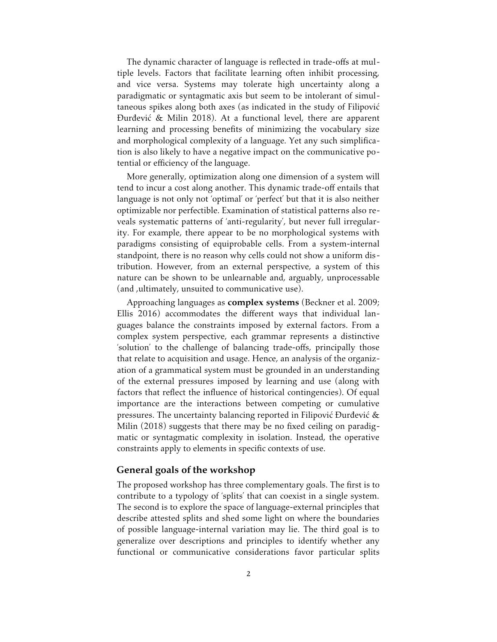The dynamic character of language is reflected in trade-offs at multiple levels. Factors that facilitate learning often inhibit processing, and vice versa. Systems may tolerate high uncertainty along a paradigmatic or syntagmatic axis but seem to be intolerant of simultaneous spikes along both axes (as indicated in the study of Filipović Đurđević & Milin 2018). At a functional level, there are apparent learning and processing benefits of minimizing the vocabulary size and morphological complexity of a language. Yet any such simplification is also likely to have a negative impact on the communicative potential or efficiency of the language.

More generally, optimization along one dimension of a system will tend to incur a cost along another. This dynamic trade-off entails that language is not only not 'optimal' or 'perfect' but that it is also neither optimizable nor perfectible. Examination of statistical patterns also reveals systematic patterns of 'anti-regularity', but never full irregularity. For example, there appear to be no morphological systems with paradigms consisting of equiprobable cells. From a system-internal standpoint, there is no reason why cells could not show a uniform distribution. However, from an external perspective, a system of this nature can be shown to be unlearnable and, arguably, unprocessable (and ,ultimately, unsuited to communicative use).

Approaching languages as **complex systems** (Beckner et al. 2009; Ellis 2016) accommodates the different ways that individual languages balance the constraints imposed by external factors. From a complex system perspective, each grammar represents a distinctive 'solution' to the challenge of balancing trade-offs, principally those that relate to acquisition and usage. Hence, an analysis of the organization of a grammatical system must be grounded in an understanding of the external pressures imposed by learning and use (along with factors that reflect the influence of historical contingencies). Of equal importance are the interactions between competing or cumulative pressures. The uncertainty balancing reported in Filipović Đurđević  $\&$ Milin (2018) suggests that there may be no fixed ceiling on paradigmatic or syntagmatic complexity in isolation. Instead, the operative constraints apply to elements in specific contexts of use.

## **General goals of the workshop**

The proposed workshop has three complementary goals. The first is to contribute to a typology of 'splits' that can coexist in a single system. The second is to explore the space of language-external principles that describe attested splits and shed some light on where the boundaries of possible language-internal variation may lie. The third goal is to generalize over descriptions and principles to identify whether any functional or communicative considerations favor particular splits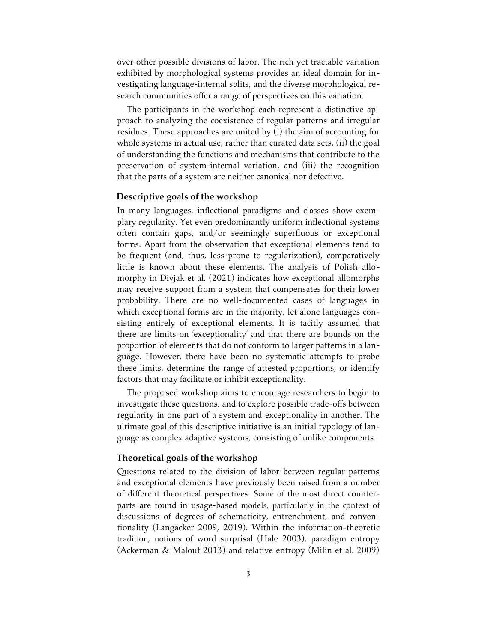over other possible divisions of labor. The rich yet tractable variation exhibited by morphological systems provides an ideal domain for investigating language-internal splits, and the diverse morphological research communities offer a range of perspectives on this variation.

The participants in the workshop each represent a distinctive approach to analyzing the coexistence of regular patterns and irregular residues. These approaches are united by (i) the aim of accounting for whole systems in actual use, rather than curated data sets, (ii) the goal of understanding the functions and mechanisms that contribute to the preservation of system-internal variation, and (iii) the recognition that the parts of a system are neither canonical nor defective.

#### **Descriptive goals of the workshop**

In many languages, inflectional paradigms and classes show exemplary regularity. Yet even predominantly uniform inflectional systems often contain gaps, and/or seemingly superfluous or exceptional forms. Apart from the observation that exceptional elements tend to be frequent (and, thus, less prone to regularization), comparatively little is known about these elements. The analysis of Polish allomorphy in Divjak et al. (2021) indicates how exceptional allomorphs may receive support from a system that compensates for their lower probability. There are no well-documented cases of languages in which exceptional forms are in the majority, let alone languages consisting entirely of exceptional elements. It is tacitly assumed that there are limits on 'exceptionality' and that there are bounds on the proportion of elements that do not conform to larger patterns in a language. However, there have been no systematic attempts to probe these limits, determine the range of attested proportions, or identify factors that may facilitate or inhibit exceptionality.

The proposed workshop aims to encourage researchers to begin to investigate these questions, and to explore possible trade-offs between regularity in one part of a system and exceptionality in another. The ultimate goal of this descriptive initiative is an initial typology of language as complex adaptive systems, consisting of unlike components.

#### **Theoretical goals of the workshop**

Questions related to the division of labor between regular patterns and exceptional elements have previously been raised from a number of different theoretical perspectives. Some of the most direct counterparts are found in usage-based models, particularly in the context of discussions of degrees of schematicity, entrenchment, and conventionality (Langacker 2009, 2019). Within the information-theoretic tradition, notions of word surprisal (Hale 2003), paradigm entropy (Ackerman & Malouf 2013) and relative entropy (Milin et al. 2009)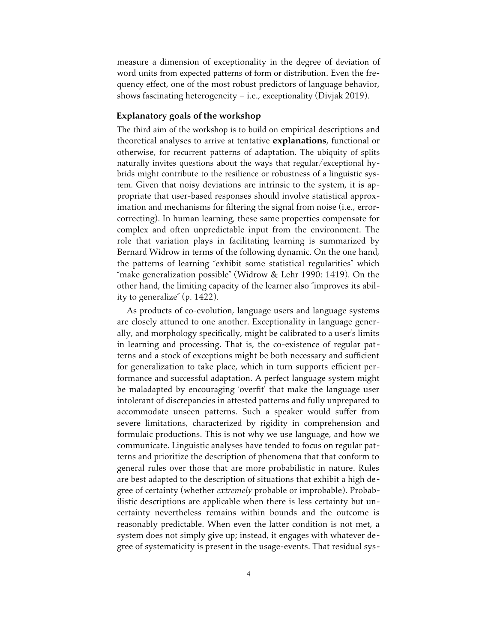measure a dimension of exceptionality in the degree of deviation of word units from expected patterns of form or distribution. Even the frequency effect, one of the most robust predictors of language behavior, shows fascinating heterogeneity  $-$  i.e., exceptionality (Divjak 2019).

#### **Explanatory goals of the workshop**

The third aim of the workshop is to build on empirical descriptions and theoretical analyses to arrive at tentative **explanations**, functional or otherwise, for recurrent patterns of adaptation. The ubiquity of splits naturally invites questions about the ways that regular/exceptional hybrids might contribute to the resilience or robustness of a linguistic system. Given that noisy deviations are intrinsic to the system, it is appropriate that user-based responses should involve statistical approximation and mechanisms for filtering the signal from noise (i.e., errorcorrecting). In human learning, these same properties compensate for complex and often unpredictable input from the environment. The role that variation plays in facilitating learning is summarized by Bernard Widrow in terms of the following dynamic. On the one hand, the patterns of learning "exhibit some statistical regularities" which "make generalization possible" (Widrow & Lehr 1990: 1419). On the other hand, the limiting capacity of the learner also "improves its ability to generalize" (p. 1422).

As products of co-evolution, language users and language systems are closely attuned to one another. Exceptionality in language generally, and morphology specifically, might be calibrated to a user's limits in learning and processing. That is, the co-existence of regular patterns and a stock of exceptions might be both necessary and sufficient for generalization to take place, which in turn supports efficient performance and successful adaptation. A perfect language system might be maladapted by encouraging 'overfit' that make the language user intolerant of discrepancies in attested patterns and fully unprepared to accommodate unseen patterns. Such a speaker would suffer from severe limitations, characterized by rigidity in comprehension and formulaic productions. This is not why we use language, and how we communicate. Linguistic analyses have tended to focus on regular patterns and prioritize the description of phenomena that that conform to general rules over those that are more probabilistic in nature. Rules are best adapted to the description of situations that exhibit a high degree of certainty (whether *extremely* probable or improbable). Probabilistic descriptions are applicable when there is less certainty but uncertainty nevertheless remains within bounds and the outcome is reasonably predictable. When even the latter condition is not met, a system does not simply give up; instead, it engages with whatever degree of systematicity is present in the usage-events. That residual sys